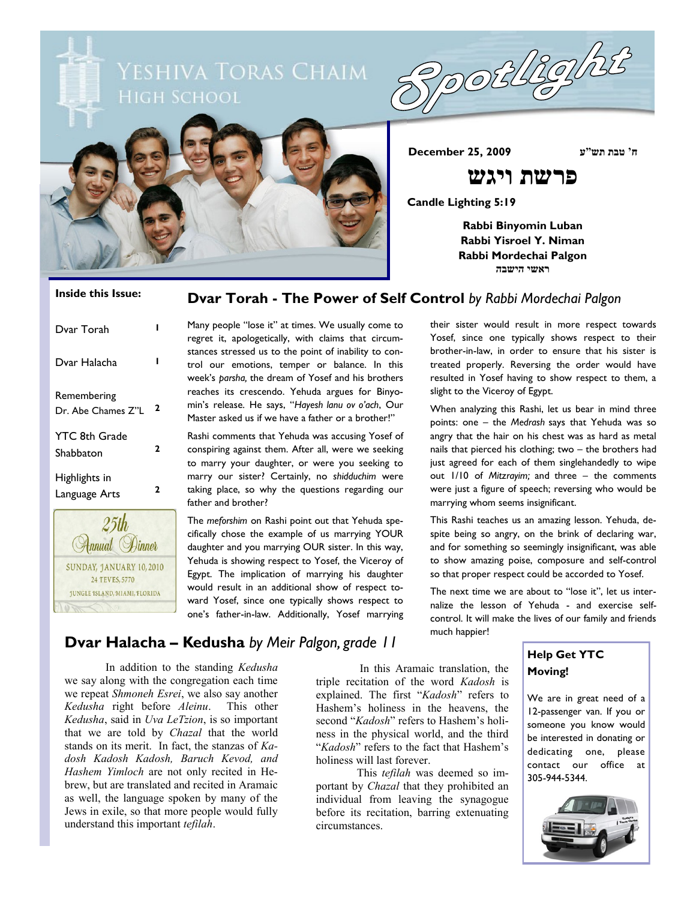





**ח' טבת תש"ע 2009 25, December**

# **פרשת ויגש**

**Candle Lighting 5:19**

**Rabbi Binyomin Luban Rabbi Yisroel Y. Niman Rabbi Mordechai Palgon ראשי הישבה**

### **Dvar Torah - The Power of Self Control** *by Rabbi Mordechai Palgon*

| Dvar Torah                        |   |
|-----------------------------------|---|
| Dvar Halacha                      |   |
| Remembering<br>Dr. Abe Chames Z"L | 2 |
| <b>YTC 8th Grade</b><br>Shabbaton | 2 |
| Highlights in<br>Language Arts    | 2 |
| 25th<br><i>nnual</i>              |   |

SUNDAY, JANUARY 10, 2010 24 TEVES, 5770 **JUNGLE 1SLAND, MIAML FLORIDA** 

**Inside this Issue:**

Many people "lose it" at times. We usually come to regret it, apologetically, with claims that circumstances stressed us to the point of inability to control our emotions, temper or balance. In this week's *parsha,* the dream of Yosef and his brothers reaches its crescendo. Yehuda argues for Binyomin's release. He says, "*Hayesh lanu ov o'ach*, Our Master asked us if we have a father or a brother!"

Rashi comments that Yehuda was accusing Yosef of conspiring against them. After all, were we seeking to marry your daughter, or were you seeking to marry our sister? Certainly, no *shidduchim* were taking place, so why the questions regarding our father and brother?

The *meforshim* on Rashi point out that Yehuda specifically chose the example of us marrying YOUR daughter and you marrying OUR sister. In this way, Yehuda is showing respect to Yosef, the Viceroy of Egypt. The implication of marrying his daughter would result in an additional show of respect toward Yosef, since one typically shows respect to one's father-in-law. Additionally, Yosef marrying their sister would result in more respect towards Yosef, since one typically shows respect to their brother-in-law, in order to ensure that his sister is treated properly. Reversing the order would have resulted in Yosef having to show respect to them, a slight to the Viceroy of Egypt.

When analyzing this Rashi, let us bear in mind three points: one – the *Medrash* says that Yehuda was so angry that the hair on his chest was as hard as metal nails that pierced his clothing; two – the brothers had just agreed for each of them singlehandedly to wipe out 1/10 of *Mitzrayim;* and three – the comments were just a figure of speech; reversing who would be marrying whom seems insignificant.

This Rashi teaches us an amazing lesson. Yehuda, despite being so angry, on the brink of declaring war, and for something so seemingly insignificant, was able to show amazing poise, composure and self-control so that proper respect could be accorded to Yosef.

The next time we are about to "lose it", let us internalize the lesson of Yehuda - and exercise selfcontrol. It will make the lives of our family and friends much happier!

# **Dvar Halacha – Kedusha** *by Meir Palgon, grade 11*

In addition to the standing *Kedusha* we say along with the congregation each time we repeat *Shmoneh Esrei*, we also say another *Kedusha* right before *Aleinu*. This other *Kedusha*, said in *Uva LeTzion*, is so important that we are told by *Chazal* that the world stands on its merit. In fact, the stanzas of *Kadosh Kadosh Kadosh, Baruch Kevod, and Hashem Yimloch* are not only recited in Hebrew, but are translated and recited in Aramaic as well, the language spoken by many of the Jews in exile, so that more people would fully understand this important *tefilah*.

In this Aramaic translation, the triple recitation of the word *Kadosh* is explained. The first "*Kadosh*" refers to Hashem's holiness in the heavens, the second "*Kadosh*" refers to Hashem's holiness in the physical world, and the third "*Kadosh*" refers to the fact that Hashem's holiness will last forever.

This *tefilah* was deemed so important by *Chazal* that they prohibited an individual from leaving the synagogue before its recitation, barring extenuating circumstances.

# **Help Get YTC Moving!**

We are in great need of a 12-passenger van. If you or someone you know would be interested in donating or dedicating one, please contact our office at 305-944-5344.